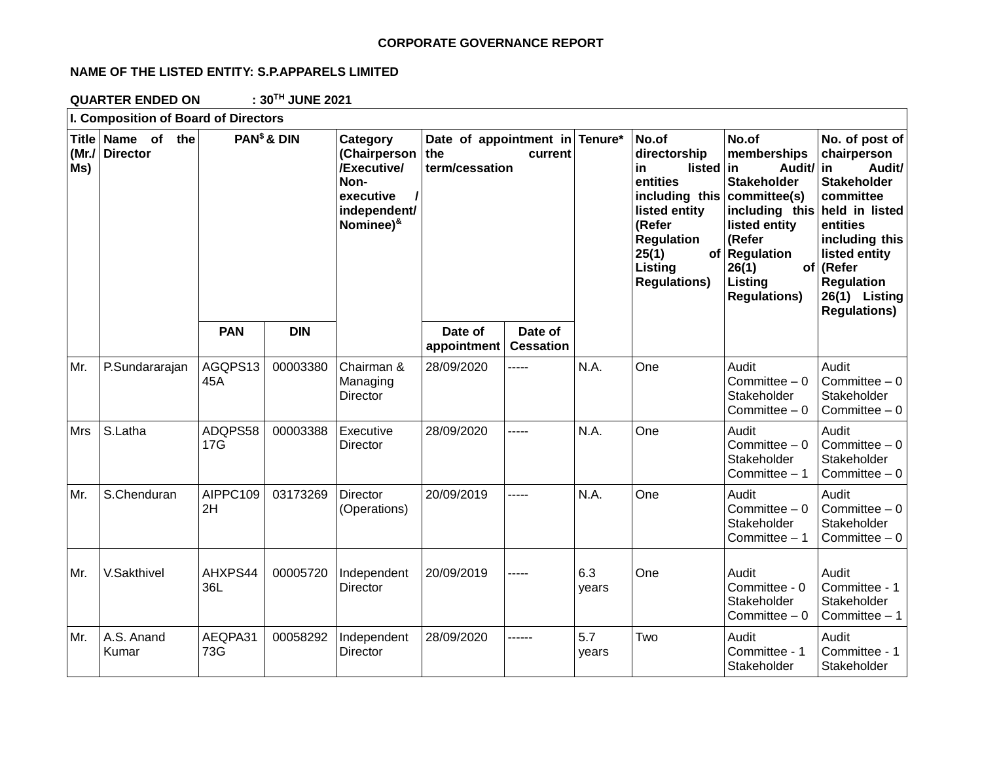## **CORPORATE GOVERNANCE REPORT**

# **NAME OF THE LISTED ENTITY: S.P.APPARELS LIMITED**

**QUARTER ENDED ON : 30TH JUNE 2021**

| I. Composition of Board of Directors |                                      |                         |            |                                                                                                           |                                                                    |                             |              |                                                                                                                                                                                          |                                                                                                                                                                                                     |                                                                                                                                                                                                     |
|--------------------------------------|--------------------------------------|-------------------------|------------|-----------------------------------------------------------------------------------------------------------|--------------------------------------------------------------------|-----------------------------|--------------|------------------------------------------------------------------------------------------------------------------------------------------------------------------------------------------|-----------------------------------------------------------------------------------------------------------------------------------------------------------------------------------------------------|-----------------------------------------------------------------------------------------------------------------------------------------------------------------------------------------------------|
| (Mr./<br>Ms)                         | Title Name of the<br><b>Director</b> | PAN <sup>\$</sup> & DIN |            | Category<br>(Chairperson<br>/Executive/<br>Non-<br>executive<br>independent/<br>Nominee) <sup>&amp;</sup> | Date of appointment in Tenure*<br>the<br>current<br>term/cessation |                             |              | No.of<br>directorship<br><b>listed</b><br>in<br>entities<br>including this<br>listed entity<br>(Refer<br><b>Regulation</b><br>25(1)<br>of <sub>l</sub><br>Listing<br><b>Regulations)</b> | No.of<br>memberships<br>Audit/ in<br>-in<br><b>Stakeholder</b><br>committee(s)<br>including this held in listed<br>listed entity<br>(Refer<br>Regulation<br>26(1)<br>Listing<br><b>Regulations)</b> | No. of post of<br>chairperson<br>Audit/<br><b>Stakeholder</b><br>committee<br>entities<br>including this<br>listed entity<br>of (Refer<br><b>Regulation</b><br>26(1) Listing<br><b>Regulations)</b> |
|                                      |                                      | <b>PAN</b>              | <b>DIN</b> |                                                                                                           | Date of<br>appointment                                             | Date of<br><b>Cessation</b> |              |                                                                                                                                                                                          |                                                                                                                                                                                                     |                                                                                                                                                                                                     |
| Mr.                                  | P.Sundararajan                       | AGQPS13<br>45A          | 00003380   | Chairman &<br>Managing<br>Director                                                                        | 28/09/2020                                                         | -----                       | N.A.         | One                                                                                                                                                                                      | Audit<br>Committee $-0$<br>Stakeholder<br>Committee $-0$                                                                                                                                            | Audit<br>Committee $-0$<br>Stakeholder<br>Committee $-0$                                                                                                                                            |
| Mrs                                  | S.Latha                              | ADQPS58<br>17G          | 00003388   | Executive<br>Director                                                                                     | 28/09/2020                                                         | -----                       | N.A.         | One                                                                                                                                                                                      | Audit<br>Committee $-0$<br>Stakeholder<br>Committee - 1                                                                                                                                             | Audit<br>Committee $-0$<br>Stakeholder<br>Committee $-0$                                                                                                                                            |
| Mr.                                  | S.Chenduran                          | AIPPC109<br>2H          | 03173269   | <b>Director</b><br>(Operations)                                                                           | 20/09/2019                                                         | -----                       | N.A.         | One                                                                                                                                                                                      | Audit<br>Committee $-0$<br>Stakeholder<br>Committee $-1$                                                                                                                                            | Audit<br>Committee $-0$<br>Stakeholder<br>Committee $-0$                                                                                                                                            |
| Mr.                                  | V.Sakthivel                          | AHXPS44<br>36L          | 00005720   | Independent<br>Director                                                                                   | 20/09/2019                                                         | -----                       | 6.3<br>years | One                                                                                                                                                                                      | Audit<br>Committee - 0<br>Stakeholder<br>Committee $-0$                                                                                                                                             | Audit<br>Committee - 1<br>Stakeholder<br>Committee $-1$                                                                                                                                             |
| Mr.                                  | A.S. Anand<br>Kumar                  | AEQPA31<br>73G          | 00058292   | Independent<br>Director                                                                                   | 28/09/2020                                                         | ------                      | 5.7<br>years | Two                                                                                                                                                                                      | Audit<br>Committee - 1<br>Stakeholder                                                                                                                                                               | Audit<br>Committee - 1<br>Stakeholder                                                                                                                                                               |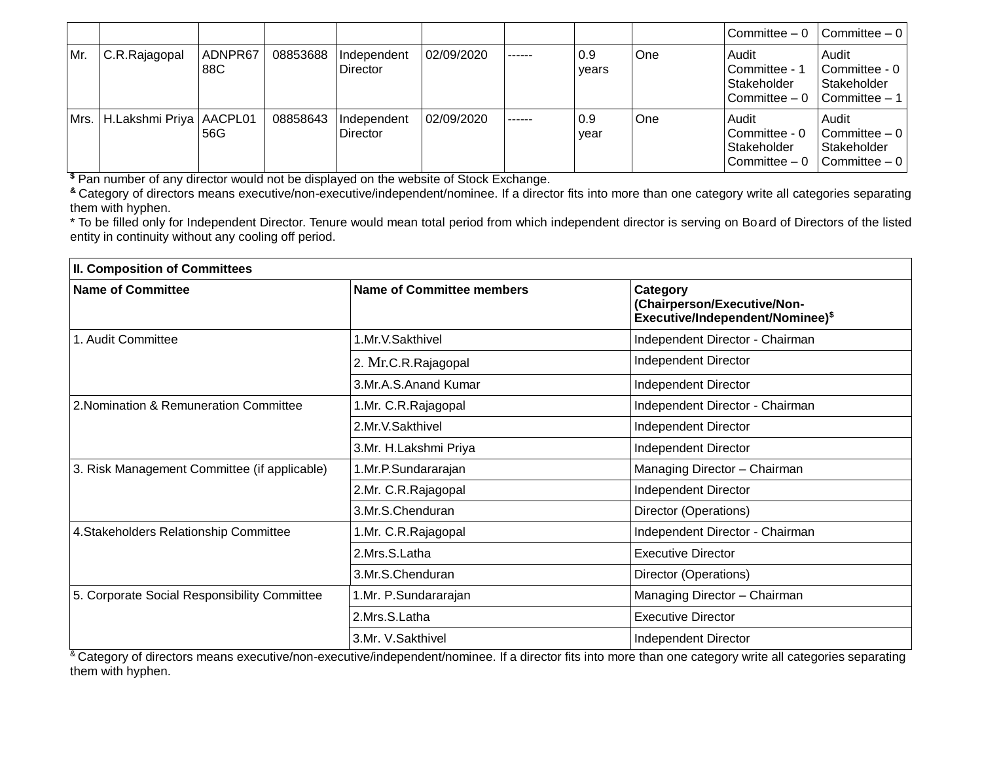|     |                                  |                |          |                         |            |        |              |     | Committee $-0$                                          | $\vert$ Committee $-0 \vert$                                                         |
|-----|----------------------------------|----------------|----------|-------------------------|------------|--------|--------------|-----|---------------------------------------------------------|--------------------------------------------------------------------------------------|
| Mr. | C.R.Rajagopal                    | ADNPR67<br>88C | 08853688 | Independent<br>Director | 02/09/2020 | ------ | 0.9<br>vears | One | Audit<br>Committee - 1<br>Stakeholder<br>Committee $-0$ | Audit<br>Committee - 0<br>Stakeholder<br>Committee - 1                               |
|     | Mrs.   H.Lakshmi Priya   AACPL01 | 56G            | 08858643 | Independent<br>Director | 02/09/2020 | ------ | 0.9<br>year  | One | Audit<br>Committee - 0<br>Stakeholder<br>Committee $-0$ | Audit<br>$\vert$ Committee $-0 \vert$<br>Stakeholder<br>$\vert$ Committee $-0 \vert$ |

**\$** Pan number of any director would not be displayed on the website of Stock Exchange.

**&** Category of directors means executive/non-executive/independent/nominee. If a director fits into more than one category write all categories separating them with hyphen.

\* To be filled only for Independent Director. Tenure would mean total period from which independent director is serving on Board of Directors of the listed entity in continuity without any cooling off period.

| <b>II. Composition of Committees</b>         |                           |                                                                                         |  |  |
|----------------------------------------------|---------------------------|-----------------------------------------------------------------------------------------|--|--|
| <b>Name of Committee</b>                     | Name of Committee members | Category<br>(Chairperson/Executive/Non-<br>Executive/Independent/Nominee) <sup>\$</sup> |  |  |
| 1. Audit Committee                           | 1.Mr.V.Sakthivel          | Independent Director - Chairman                                                         |  |  |
|                                              | 2. Mr.C.R.Rajagopal       | Independent Director                                                                    |  |  |
|                                              | 3.Mr.A.S.Anand Kumar      | Independent Director                                                                    |  |  |
| 2. Nomination & Remuneration Committee       | 1.Mr. C.R.Rajagopal       | Independent Director - Chairman                                                         |  |  |
|                                              | 2.Mr.V.Sakthivel          | Independent Director                                                                    |  |  |
|                                              | 3.Mr. H.Lakshmi Priya     | Independent Director                                                                    |  |  |
| 3. Risk Management Committee (if applicable) | 1.Mr.P.Sundararajan       | Managing Director - Chairman                                                            |  |  |
|                                              | 2.Mr. C.R.Rajagopal       | Independent Director                                                                    |  |  |
|                                              | 3.Mr.S.Chenduran          | Director (Operations)                                                                   |  |  |
| 4. Stakeholders Relationship Committee       | 1.Mr. C.R. Rajagopal      | Independent Director - Chairman                                                         |  |  |
|                                              | 2.Mrs.S.Latha             | <b>Executive Director</b>                                                               |  |  |
|                                              | 3.Mr.S.Chenduran          | Director (Operations)                                                                   |  |  |
| 5. Corporate Social Responsibility Committee | 1.Mr. P.Sundararajan      | Managing Director - Chairman                                                            |  |  |
|                                              | 2.Mrs.S.Latha             | <b>Executive Director</b>                                                               |  |  |
|                                              | 3.Mr. V.Sakthivel         | Independent Director                                                                    |  |  |

<sup>&</sup> Category of directors means executive/non-executive/independent/nominee. If a director fits into more than one category write all categories separating them with hyphen.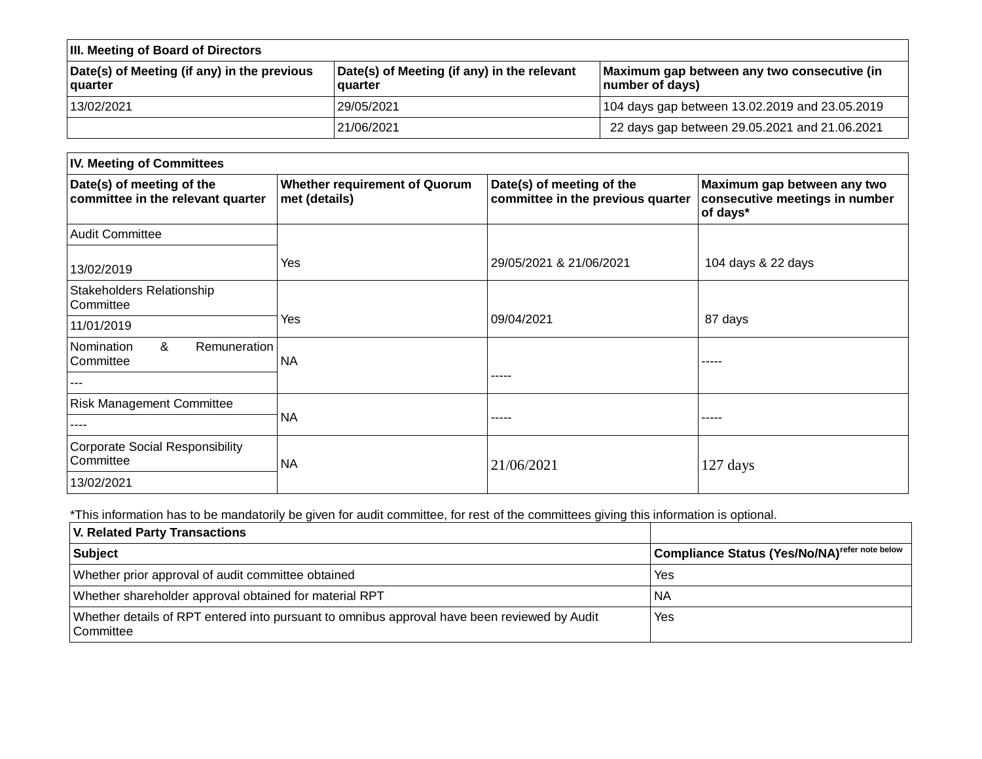| <b>III. Meeting of Board of Directors</b>              |                                                        |                                                                |  |  |
|--------------------------------------------------------|--------------------------------------------------------|----------------------------------------------------------------|--|--|
| Date(s) of Meeting (if any) in the previous<br>quarter | Date(s) of Meeting (if any) in the relevant<br>quarter | Maximum gap between any two consecutive (in<br>number of days) |  |  |
| 13/02/2021                                             | 29/05/2021                                             | 104 days gap between 13.02.2019 and 23.05.2019                 |  |  |
|                                                        | 21/06/2021                                             | 22 days gap between 29.05.2021 and 21.06.2021                  |  |  |

| <b>IV. Meeting of Committees</b>                               |                                                       |                                                                |                                                                           |  |  |
|----------------------------------------------------------------|-------------------------------------------------------|----------------------------------------------------------------|---------------------------------------------------------------------------|--|--|
| Date(s) of meeting of the<br>committee in the relevant quarter | <b>Whether requirement of Quorum</b><br>met (details) | Date(s) of meeting of the<br>committee in the previous quarter | Maximum gap between any two<br>consecutive meetings in number<br>of days* |  |  |
| <b>Audit Committee</b>                                         |                                                       |                                                                |                                                                           |  |  |
| 13/02/2019                                                     | Yes                                                   | 29/05/2021 & 21/06/2021                                        | 104 days & 22 days                                                        |  |  |
| Stakeholders Relationship<br>Committee                         |                                                       |                                                                |                                                                           |  |  |
| 11/01/2019                                                     | Yes                                                   | 09/04/2021                                                     | 87 days                                                                   |  |  |
| Remuneration<br>&<br>Nomination<br>Committee                   | <b>NA</b>                                             |                                                                | -----                                                                     |  |  |
| ---                                                            |                                                       | -----                                                          |                                                                           |  |  |
| <b>Risk Management Committee</b>                               |                                                       |                                                                |                                                                           |  |  |
| ----                                                           | <b>NA</b>                                             | -----                                                          | -----                                                                     |  |  |
| <b>Corporate Social Responsibility</b><br>Committee            | <b>NA</b>                                             | 21/06/2021                                                     | 127 days                                                                  |  |  |
| 13/02/2021                                                     |                                                       |                                                                |                                                                           |  |  |

\*This information has to be mandatorily be given for audit committee, for rest of the committees giving this information is optional.

| <b>V. Related Party Transactions</b>                                                                      |                                                           |
|-----------------------------------------------------------------------------------------------------------|-----------------------------------------------------------|
| Subject                                                                                                   | Compliance Status (Yes/No/NA) <sup>refer note below</sup> |
| Whether prior approval of audit committee obtained                                                        | Yes                                                       |
| Whether shareholder approval obtained for material RPT                                                    | NA                                                        |
| Whether details of RPT entered into pursuant to omnibus approval have been reviewed by Audit<br>Committee | Yes                                                       |